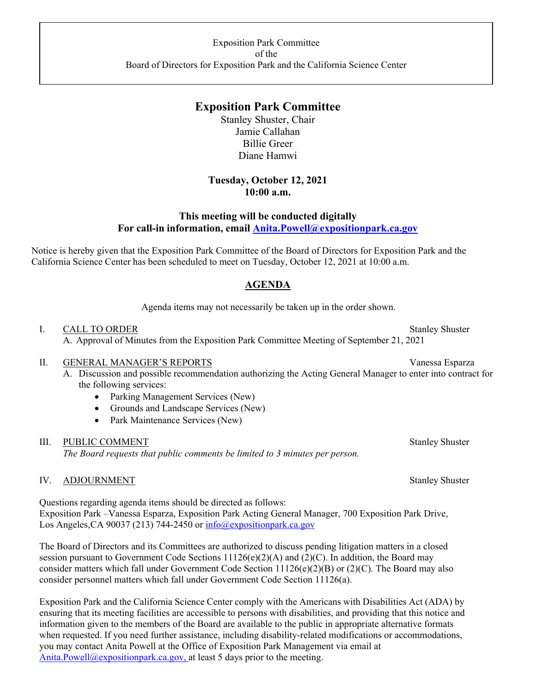# **Exposition Park Committee**

Stanley Shuster, Chair Jamie Callahan Billie Greer Diane Hamwi

### **Tuesday, October 12, 2021 10:00 a.m.**

### **This meeting will be conducted digitally For call-in information, email Anita.Powell@expositionpark.ca.gov**

Notice is hereby given that the Exposition Park Committee of the Board of Directors for Exposition Park and the California Science Center has been scheduled to meet on Tuesday, October 12, 2021 at 10:00 a.m.

## **AGENDA**

Agenda items may not necessarily be taken up in the order shown.

#### I. CALL TO ORDER Stanley Shuster

A. Approval of Minutes from the Exposition Park Committee Meeting of September 21, 2021

#### II. GENERAL MANAGER'S REPORTS Vanessa Esparza

- A. Discussion and possible recommendation authorizing the Acting General Manager to enter into contract for the following services:
	- Parking Management Services (New)
	- Grounds and Landscape Services (New)
	- Park Maintenance Services (New)

#### III. PUBLIC COMMENT Stanley Shuster

*The Board requests that public comments be limited to 3 minutes per person.* 

#### IV. ADJOURNMENT Stanley Shuster

Questions regarding agenda items should be directed as follows: Exposition Park –Vanessa Esparza, Exposition Park Acting General Manager, 700 Exposition Park Drive, Los Angeles, CA 90037 (213) 744-2450 or info@expositionpark.ca.gov

The Board of Directors and its Committees are authorized to discuss pending litigation matters in a closed session pursuant to Government Code Sections 11126(e)(2)(A) and (2)(C). In addition, the Board may consider matters which fall under Government Code Section 11126(e)(2)(B) or (2)(C). The Board may also consider personnel matters which fall under Government Code Section 11126(a).

Exposition Park and the California Science Center comply with the Americans with Disabilities Act (ADA) by ensuring that its meeting facilities are accessible to persons with disabilities, and providing that this notice and information given to the members of the Board are available to the public in appropriate alternative formats when requested. If you need further assistance, including disability-related modifications or accommodations, you may contact Anita Powell at the Office of Exposition Park Management via email at Anita.Powell@expositionpark.ca.gov, at least 5 days prior to the meeting.